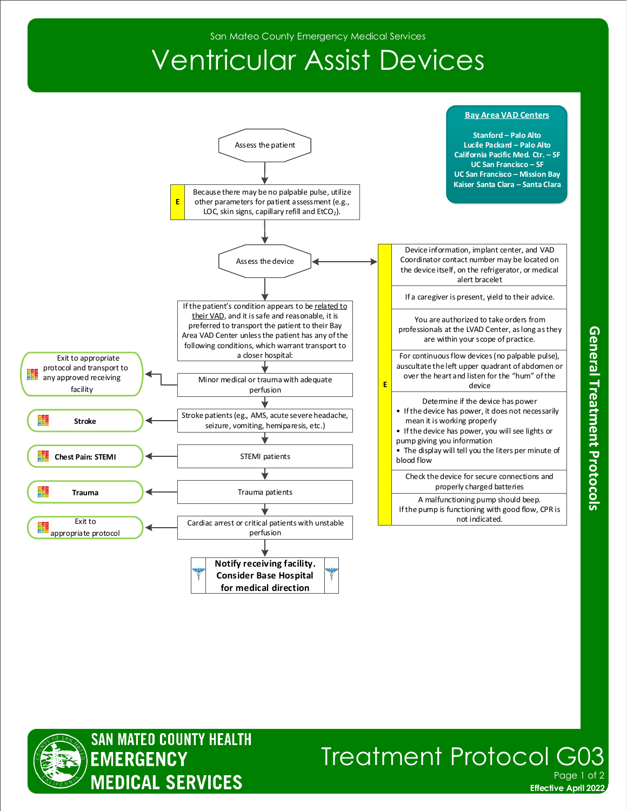San Mateo County Emergency Medical Services

## Ventricular Assist Devices







**Effective April 2022 Treatment Protocol GO** Page